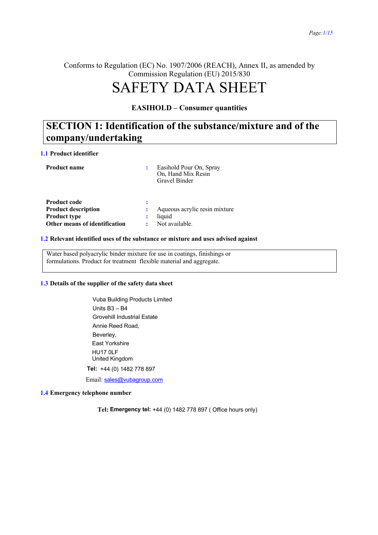Conforms to Regulation (EC) No. 1907/2006 (REACH), Annex II, as amended by Commission Regulation (EU) 2015/830

# SAFETY DATA SHEET

#### **EASIHOLD – Consumer quantities**

### **SECTION 1: Identification of the substance/mixture and of the company/undertaking**

#### **1.1 Product identifier**

| <b>Product name</b>                                                      |   | Easihold Pour On, Spray<br>On, Hand Mix Resin<br>Gravel Binder |
|--------------------------------------------------------------------------|---|----------------------------------------------------------------|
| <b>Product code</b><br><b>Product description</b><br><b>Product type</b> | ÷ | Aqueous acrylic resin mixture<br>liquid                        |
| Other means of identification                                            |   | Not available.                                                 |

#### **1.2 Relevant identified uses of the substance or mixture and uses advised against**

Water based polyacrylic binder mixture for use in coatings, finishings or formulations. Product for treatment flexible material and aggregate.

#### **1.3 Details of the supplier of the safety data sheet**

Vuba Building Products Limited Units B3 – B4 Grovehill Industrial Estate Annie Reed Road, Beverley, East Yorkshire HU17 0LF United Kingdom **Tel:** +44 (0) 1482 778 897 Email: sales@vubagroup.com

#### **1.4 Emergency telephone number**

**Tel: Emergency tel:** +44 (0) 1482 778 897 ( Office hours only)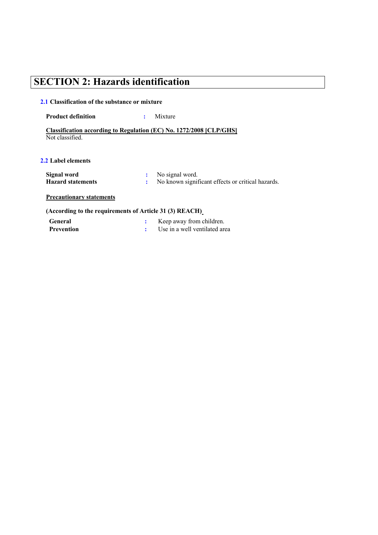# **SECTION 2: Hazards identification**

#### **2.1 Classification of the substance or mixture**

#### **Product definition :** Mixture

**Classification according to Regulation (EC) No. 1272/2008 [CLP/GHS]** Not classified.

#### **2.2 Label elements**

| Signal word              | No signal word.                                   |
|--------------------------|---------------------------------------------------|
| <b>Hazard statements</b> | No known significant effects or critical hazards. |

#### **Precautionary statements**

#### **(According to the requirements of Article 31 (3) REACH)**

| <b>General</b> | Keep away from children.      |
|----------------|-------------------------------|
| Prevention     | Use in a well ventilated area |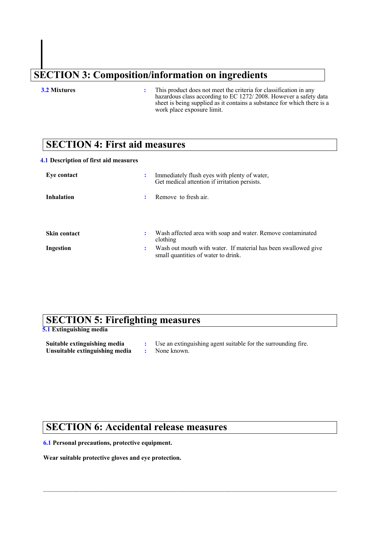# **SECTION 3: Composition/information on ingredients**

**3.2 Mixtures :** This product does not meet the criteria for classification in any hazardous class according to EC 1272/ 2008. However a safety data sheet is being supplied as it contains a substance for which there is a work place exposure limit.

### **SECTION 4: First aid measures**

#### **4.1 Description of first aid measures**

| Eye contact         |    | Immediately flush eyes with plenty of water,<br>Get medical attention if irritation persists.         |
|---------------------|----|-------------------------------------------------------------------------------------------------------|
| <b>Inhalation</b>   |    | Remove to fresh air.                                                                                  |
| <b>Skin contact</b> |    | Wash affected area with soap and water. Remove contaminated<br>clothing                               |
| Ingestion           | ٠. | Wash out mouth with water. If material has been swallowed give<br>small quantities of water to drink. |

### **SECTION 5: Firefighting measures**

**5.1 Extinguishing media**

| Suitable extinguishing media   | Use an extinguishing agent suitable for the surrounding fire. |
|--------------------------------|---------------------------------------------------------------|
| Unsuitable extinguishing media | None known.                                                   |

### **SECTION 6: Accidental release measures**

#### **6.1 Personal precautions, protective equipment.**

**Wear suitable protective gloves and eye protection.**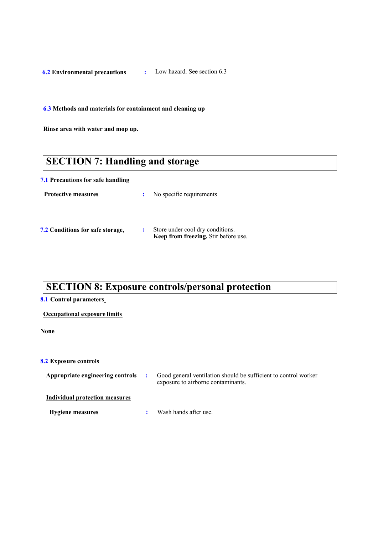**6.2 Environmental precautions :** Low hazard. See section 6.3

**6.3 Methods and materials for containment and cleaning up**

**Rinse area with water and mop up.**

# **SECTION 7: Handling and storage**

#### **7.1 Precautions for safe handling**

| <b>Protective measures</b>              | No specific requirements                                                 |
|-----------------------------------------|--------------------------------------------------------------------------|
| <b>7.2 Conditions for safe storage,</b> | Store under cool dry conditions.<br>Keep from freezing. Stir before use. |

### **SECTION 8: Exposure controls/personal protection**

#### **8.1 Control parameters**

#### **Occupational exposure limits**

**None** 

#### **8.2 Exposure controls**

| Appropriate engineering controls | Good general ventilation should be sufficient to control worker<br>exposure to airborne contaminants. |
|----------------------------------|-------------------------------------------------------------------------------------------------------|
| Individual protection measures   |                                                                                                       |
| <b>Hygiene measures</b>          | Wash hands after use.                                                                                 |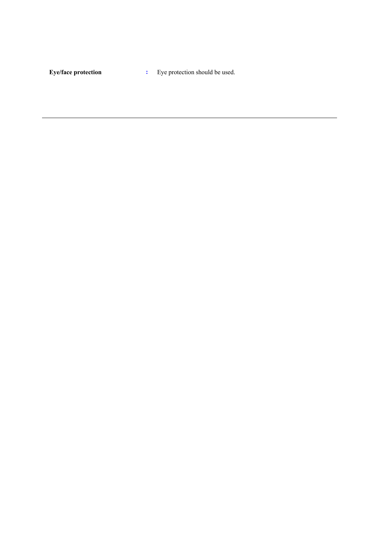**Eye/face protection :** Eye protection should be used.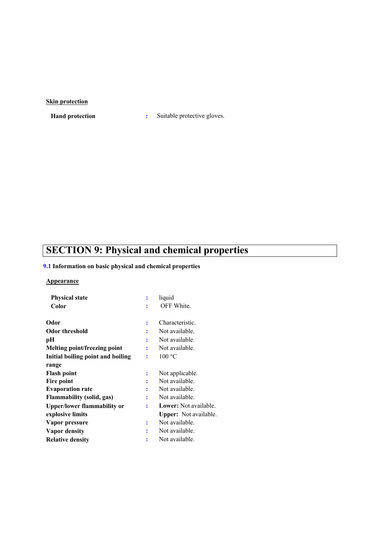#### **Skin protection**

**Hand protection :** Suitable protective gloves.

# **SECTION 9: Physical and chemical properties**

#### **9.1 Information on basic physical and chemical properties**

#### **Appearance**

| <b>Physical state</b>              | ÷ | liquid                       |
|------------------------------------|---|------------------------------|
| Color                              |   | OFF White.                   |
| Odor                               | ፡ | Characteristic.              |
| <b>Odor threshold</b>              | ٠ | Not available.               |
| pН                                 | ÷ | Not available.               |
| Melting point/freezing point       | ÷ | Not available.               |
| Initial boiling point and boiling  | ፡ | 100 °C                       |
| range                              |   |                              |
| <b>Flash point</b>                 | ፡ | Not applicable.              |
| Fire point                         |   | Not available.               |
| <b>Evaporation rate</b>            |   | Not available.               |
| <b>Flammability (solid, gas)</b>   | ፡ | Not available.               |
| <b>Upper/lower flammability or</b> | ፡ | <b>Lower:</b> Not available. |
| explosive limits                   |   | <b>Upper:</b> Not available. |
| Vapor pressure                     | ÷ | Not available.               |
| Vapor density                      | ٠ | Not available.               |
| <b>Relative density</b>            |   | Not available.               |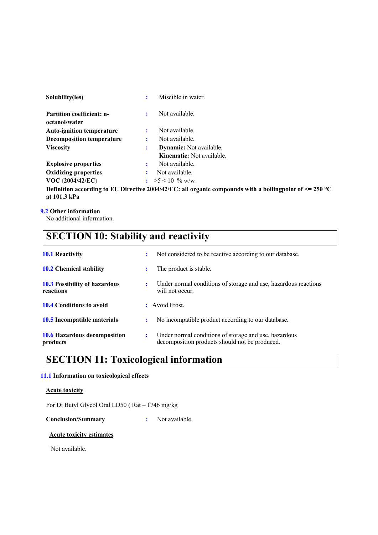| Solubility(ies)                                              | ÷ | Miscible in water.                                                 |  |  |  |
|--------------------------------------------------------------|---|--------------------------------------------------------------------|--|--|--|
| <b>Partition coefficient: n-</b><br>octanol/water            | ÷ | Not available.                                                     |  |  |  |
| <b>Auto-ignition temperature</b>                             | ÷ | Not available.                                                     |  |  |  |
| <b>Decomposition temperature</b>                             | ÷ | Not available.                                                     |  |  |  |
| <b>Viscosity</b>                                             | : | <b>Dynamic:</b> Not available.<br><b>Kinematic:</b> Not available. |  |  |  |
| <b>Explosive properties</b>                                  | ÷ | Not available.                                                     |  |  |  |
| <b>Oxidizing properties</b>                                  |   | Not available.                                                     |  |  |  |
| <b>VOC</b> (2004/42/EC)                                      |   | $\approx 5 \leq 10$ % w/w                                          |  |  |  |
| $\mathbf{r}$ as $\mathbf{r}$ .<br>$\cdots$ $\cdots$ $\cdots$ |   | $20011127 - 11$                                                    |  |  |  |

**Definition according to EU Directive 2004/42/EC: all organic compounds with a boilingpoint of <= 250 °C at 101.3 kPa**

#### **9.2 Other information**

No additional information.

# **SECTION 10: Stability and reactivity**

| <b>10.1 Reactivity</b>                            | ÷ | Not considered to be reactive according to our database.                                                |
|---------------------------------------------------|---|---------------------------------------------------------------------------------------------------------|
| <b>10.2 Chemical stability</b>                    |   | The product is stable.                                                                                  |
| <b>10.3 Possibility of hazardous</b><br>reactions | : | Under normal conditions of storage and use, hazardous reactions<br>will not occur.                      |
| <b>10.4 Conditions to avoid</b>                   |   | : Avoid Frost.                                                                                          |
| 10.5 Incompatible materials                       | ÷ | No incompatible product according to our database.                                                      |
| <b>10.6 Hazardous decomposition</b><br>products   | ÷ | Under normal conditions of storage and use, hazardous<br>decomposition products should not be produced. |

### **SECTION 11: Toxicological information**

#### **11.1 Information on toxicological effects**

#### **Acute toxicity**

For Di Butyl Glycol Oral LD50 ( Rat – 1746 mg/kg

**Conclusion/Summary :** Not available.

#### **Acute toxicity estimates**

Not available.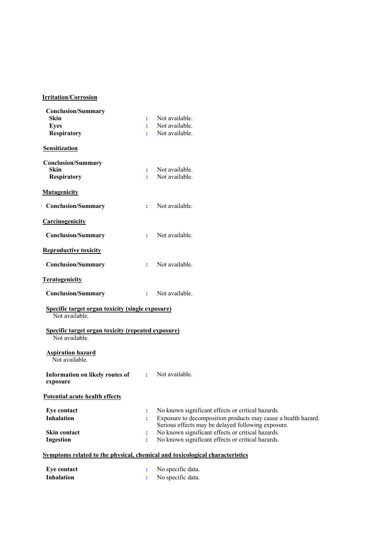#### **Irritation/Corrosion**

| <b>Conclusion/Summary</b>                                                   |              |                                                                              |
|-----------------------------------------------------------------------------|--------------|------------------------------------------------------------------------------|
| <b>Skin</b>                                                                 | ÷            | Not available.                                                               |
| <b>Eyes</b>                                                                 | ÷            | Not available.                                                               |
| <b>Respiratory</b>                                                          | ÷            | Not available.                                                               |
| Sensitization                                                               |              |                                                                              |
| <b>Conclusion/Summary</b>                                                   |              |                                                                              |
| <b>Skin</b>                                                                 | ÷            | Not available.                                                               |
| <b>Respiratory</b>                                                          | ÷            | Not available.                                                               |
| <b>Mutagenicity</b>                                                         |              |                                                                              |
| <b>Conclusion/Summary</b>                                                   | ÷.           | Not available.                                                               |
| Carcinogenicity                                                             |              |                                                                              |
| <b>Conclusion/Summary</b>                                                   | ÷            | Not available.                                                               |
| <b>Reproductive toxicity</b>                                                |              |                                                                              |
| <b>Conclusion/Summary</b>                                                   | ÷            | Not available.                                                               |
| <b>Teratogenicity</b>                                                       |              |                                                                              |
| <b>Conclusion/Summary</b>                                                   | ÷            | Not available.                                                               |
| Specific target organ toxicity (single exposure)<br>Not available.          |              |                                                                              |
| <b>Specific target organ toxicity (repeated exposure)</b><br>Not available. |              |                                                                              |
| <b>Aspiration hazard</b><br>Not available.                                  |              |                                                                              |
| Information on likely routes of<br>exposure                                 | $\mathbf{r}$ | Not available.                                                               |
| Potential acute health effects                                              |              |                                                                              |
| <b>Eye contact</b>                                                          | ÷            | No known significant effects or critical hazards.                            |
| <b>Inhalation</b>                                                           | ÷            | Exposure to decomposition products may cause a health hazard.                |
|                                                                             |              | Serious effects may be delayed following exposure.                           |
| Skin contact                                                                |              | No known significant effects or critical hazards.                            |
| Ingestion                                                                   | ÷            | No known significant effects or critical hazards.                            |
|                                                                             |              | Symptoms related to the physical, chemical and toxicological characteristics |
| <b>Eye contact</b>                                                          |              | No specific data.                                                            |
| <b>Inhalation</b>                                                           |              | No specific data.                                                            |
|                                                                             |              |                                                                              |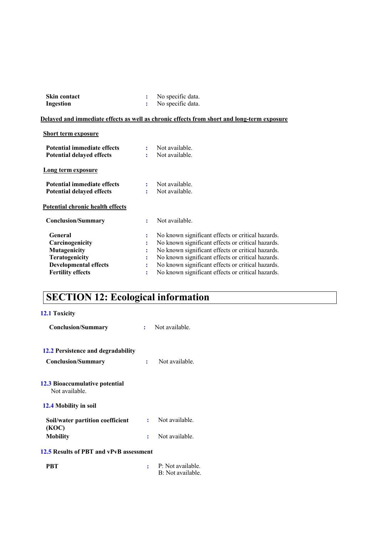| <b>Skin contact</b> | No specific data. |
|---------------------|-------------------|
| Ingestion           | No specific data. |

#### **Delayed and immediate effects as well as chronic effects from short and long-term exposure**

| <b>Short term exposure</b>                                                                                                             |                       |                                                                                                                                                                                                                                                                                                                            |
|----------------------------------------------------------------------------------------------------------------------------------------|-----------------------|----------------------------------------------------------------------------------------------------------------------------------------------------------------------------------------------------------------------------------------------------------------------------------------------------------------------------|
| Potential immediate effects<br><b>Potential delayed effects</b>                                                                        | ÷                     | Not available.<br>Not available.                                                                                                                                                                                                                                                                                           |
| <b>Long term exposure</b>                                                                                                              |                       |                                                                                                                                                                                                                                                                                                                            |
| Potential immediate effects<br><b>Potential delayed effects</b>                                                                        | ÷                     | Not available.<br>Not available.                                                                                                                                                                                                                                                                                           |
| <b>Potential chronic health effects</b>                                                                                                |                       |                                                                                                                                                                                                                                                                                                                            |
| <b>Conclusion/Summary</b>                                                                                                              | ÷                     | Not available.                                                                                                                                                                                                                                                                                                             |
| General<br>Carcinogenicity<br><b>Mutagenicity</b><br><b>Teratogenicity</b><br><b>Developmental effects</b><br><b>Fertility effects</b> | ÷<br>÷<br>÷<br>÷<br>÷ | No known significant effects or critical hazards.<br>No known significant effects or critical hazards.<br>No known significant effects or critical hazards.<br>No known significant effects or critical hazards.<br>No known significant effects or critical hazards.<br>No known significant effects or critical hazards. |
|                                                                                                                                        |                       |                                                                                                                                                                                                                                                                                                                            |

# **SECTION 12: Ecological information**

### **12.1 Toxicity**

| <b>Conclusion/Summary</b>                                       |   | Not available. |
|-----------------------------------------------------------------|---|----------------|
| 12.2 Persistence and degradability<br><b>Conclusion/Summary</b> | ÷ | Not available. |
| 12.3 Bioaccumulative potential<br>Not available.                |   |                |
| 12.4 Mobility in soil                                           |   |                |
| Soil/water partition coefficient<br>(KOC)                       |   | Not available. |
| Mobility                                                        | ÷ | Not available. |
| 12.5 Results of PBT and vPvB assessment                         |   |                |
|                                                                 |   |                |

**PBT :** P: Not available. B: Not available.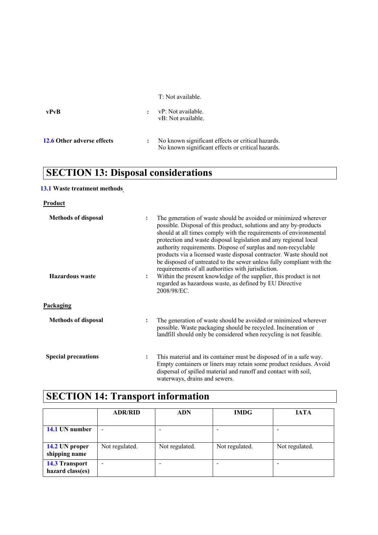T: Not available.

| vPvR                       | vP: Not available.<br>vB: Not available.                                                               |
|----------------------------|--------------------------------------------------------------------------------------------------------|
| 12.6 Other adverse effects | No known significant effects or critical hazards.<br>No known significant effects or critical hazards. |

# **SECTION 13: Disposal considerations**

### **13.1 Waste treatment methods**

#### **Product**

| <b>Methods of disposal</b> | ÷                                                                                                                                              | The generation of waste should be avoided or minimized wherever<br>possible. Disposal of this product, solutions and any by-products<br>should at all times comply with the requirements of environmental<br>protection and waste disposal legislation and any regional local<br>authority requirements. Dispose of surplus and non-recyclable<br>products via a licensed waste disposal contractor. Waste should not |
|----------------------------|------------------------------------------------------------------------------------------------------------------------------------------------|-----------------------------------------------------------------------------------------------------------------------------------------------------------------------------------------------------------------------------------------------------------------------------------------------------------------------------------------------------------------------------------------------------------------------|
| <b>Hazardous</b> waste     | requirements of all authorities with jurisdiction.<br>$\ddot{\cdot}$<br>regarded as hazardous waste, as defined by EU Directive<br>2008/98/EC. | be disposed of untreated to the sewer unless fully compliant with the<br>Within the present knowledge of the supplier, this product is not                                                                                                                                                                                                                                                                            |
| Packaging                  |                                                                                                                                                |                                                                                                                                                                                                                                                                                                                                                                                                                       |
| <b>Methods of disposal</b> | $\ddot{\cdot}$                                                                                                                                 | The generation of waste should be avoided or minimized wherever<br>possible. Waste packaging should be recycled. Incineration or<br>landfill should only be considered when recycling is not feasible.                                                                                                                                                                                                                |
| <b>Special precautions</b> | $\ddot{\cdot}$<br>waterways, drains and sewers.                                                                                                | This material and its container must be disposed of in a safe way.<br>Empty containers or liners may retain some product residues. Avoid<br>dispersal of spilled material and runoff and contact with soil,                                                                                                                                                                                                           |

# **SECTION 14: Transport information**

|                                           | <b>ADR/RID</b> | <b>ADN</b>     | <b>IMDG</b>    | <b>JATA</b>    |
|-------------------------------------------|----------------|----------------|----------------|----------------|
| 14.1 UN number                            |                |                |                |                |
| 14.2 UN proper<br>shipping name           | Not regulated. | Not regulated. | Not regulated. | Not regulated. |
| <b>14.3 Transport</b><br>hazard class(es) | -              |                |                |                |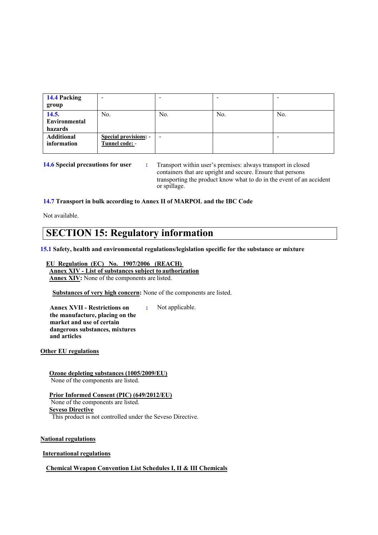| 14.4 Packing<br>group             | -                                              |     |     |     |
|-----------------------------------|------------------------------------------------|-----|-----|-----|
| 14.5.<br>Environmental<br>hazards | No.                                            | No. | No. | No. |
| <b>Additional</b><br>information  | <b>Special provisions: -</b><br>Tunnel code: - |     |     |     |

**14.6 Special precautions for user :** Transport within user's premises: always transport in closed containers that are upright and secure. Ensure that persons transporting the product know what to do in the event of an accident or spillage.

#### **14.7 Transport in bulk according to Annex II of MARPOL and the IBC Code**

Not available.

### **SECTION 15: Regulatory information**

**15.1 Safety, health and environmental regulations/legislation specific for the substance or mixture**

#### **EU Regulation (EC) No. 1907/2006 (REACH) Annex XIV - List of substances subject to authorization Annex XIV:** None of the components are listed.

**Substances of very high concern:** None of the components are listed.

**Annex XVII - Restrictions on the manufacture, placing on the market and use of certain dangerous substances, mixtures and articles**

**:** Not applicable.

**Other EU regulations**

**Ozone depleting substances (1005/2009/EU)** None of the components are listed.

**Prior Informed Consent (PIC) (649/2012/EU)** None of the components are listed. **Seveso Directive** This product is not controlled under the Seveso Directive.

**National regulations**

**International regulations**

**Chemical Weapon Convention List Schedules I, II & III Chemicals**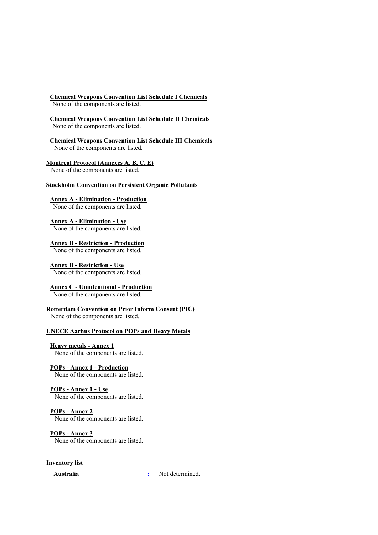#### **Chemical Weapons Convention List Schedule I Chemicals**

None of the components are listed.

**Chemical Weapons Convention List Schedule II Chemicals** None of the components are listed.

**Chemical Weapons Convention List Schedule III Chemicals** None of the components are listed.

**Montreal Protocol (Annexes A, B, C, E)**

None of the components are listed.

#### **Stockholm Convention on Persistent Organic Pollutants**

**Annex A - Elimination - Production** None of the components are listed.

**Annex A - Elimination - Use** None of the components are listed.

**Annex B - Restriction - Production** None of the components are listed.

**Annex B - Restriction - Use** None of the components are listed.

**Annex C - Unintentional - Production**

None of the components are listed.

**Rotterdam Convention on Prior Inform Consent (PIC)** None of the components are listed.

#### **UNECE Aarhus Protocol on POPs and Heavy Metals**

**Heavy metals - Annex 1** None of the components are listed.

**POPs - Annex 1 - Production** None of the components are listed.

**POPs - Annex 1 - Use** None of the components are listed.

**POPs - Annex 2** None of the components are listed.

**POPs - Annex 3**

None of the components are listed.

**Inventory list**

**Australia :** Not determined.